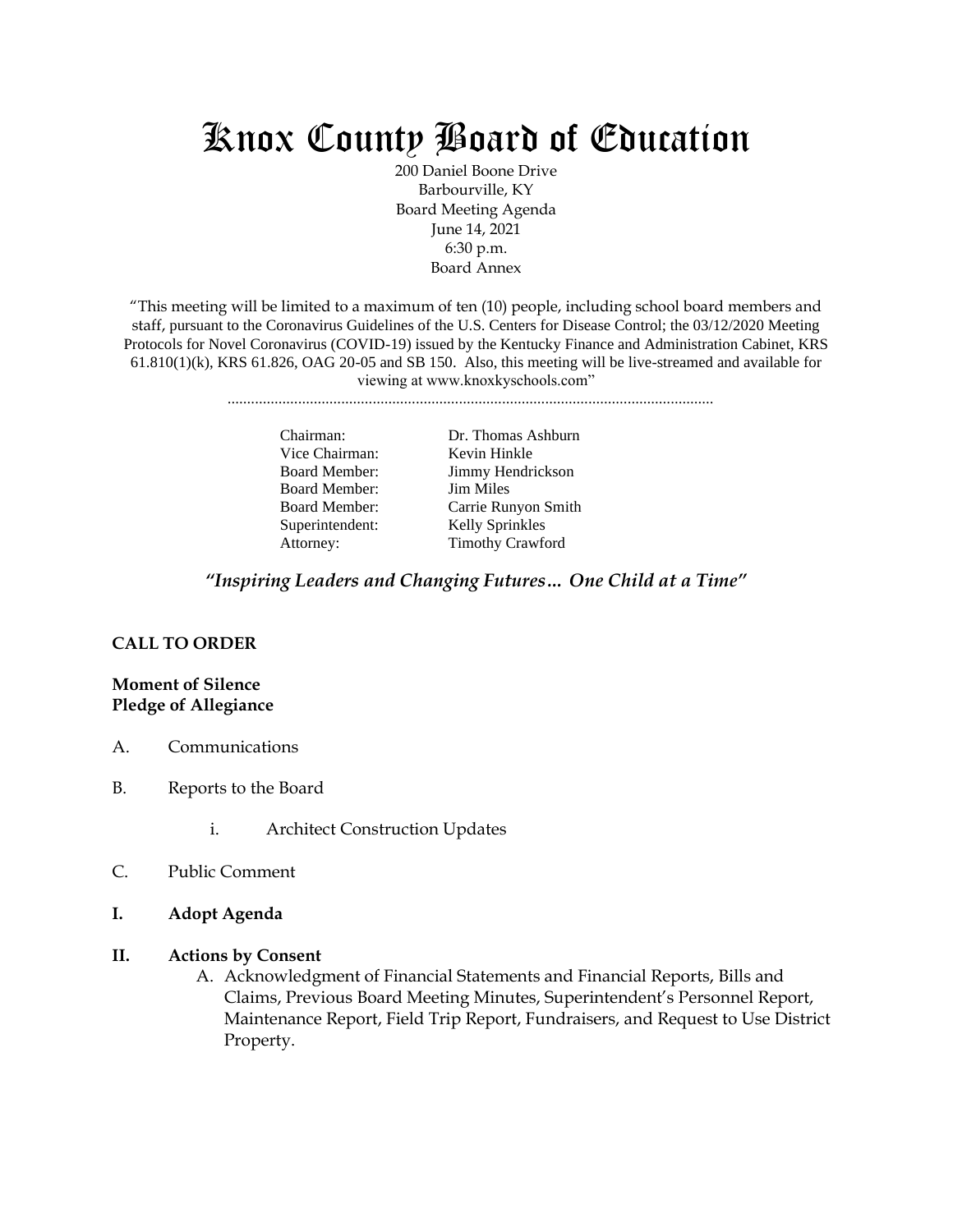# Knox County Board of Education

200 Daniel Boone Drive Barbourville, KY Board Meeting Agenda June 14, 2021 6:30 p.m. Board Annex

"This meeting will be limited to a maximum of ten (10) people, including school board members and staff, pursuant to the Coronavirus Guidelines of the U.S. Centers for Disease Control; the 03/12/2020 Meeting Protocols for Novel Coronavirus (COVID-19) issued by the Kentucky Finance and Administration Cabinet, KRS  $61.810(1)(k)$ , KRS  $61.826$ , OAG  $20-05$  and SB 150. Also, this meeting will be live-streamed and available for viewing at www.knoxkyschools.com"

............................................................................................................................

Vice Chairman: Kevin Hinkle Board Member: Jim Miles Superintendent: Kelly Sprinkles

Chairman: Dr. Thomas Ashburn Board Member: Jimmy Hendrickson Board Member: Carrie Runyon Smith Attorney: Timothy Crawford

*"Inspiring Leaders and Changing Futures… One Child at a Time"*

### **CALL TO ORDER**

## **Moment of Silence Pledge of Allegiance**

- A. Communications
- B. Reports to the Board
	- i. Architect Construction Updates
- C. Public Comment
- **I. Adopt Agenda**

#### **II. Actions by Consent**

A. Acknowledgment of Financial Statements and Financial Reports, Bills and Claims, Previous Board Meeting Minutes, Superintendent's Personnel Report, Maintenance Report, Field Trip Report, Fundraisers, and Request to Use District Property.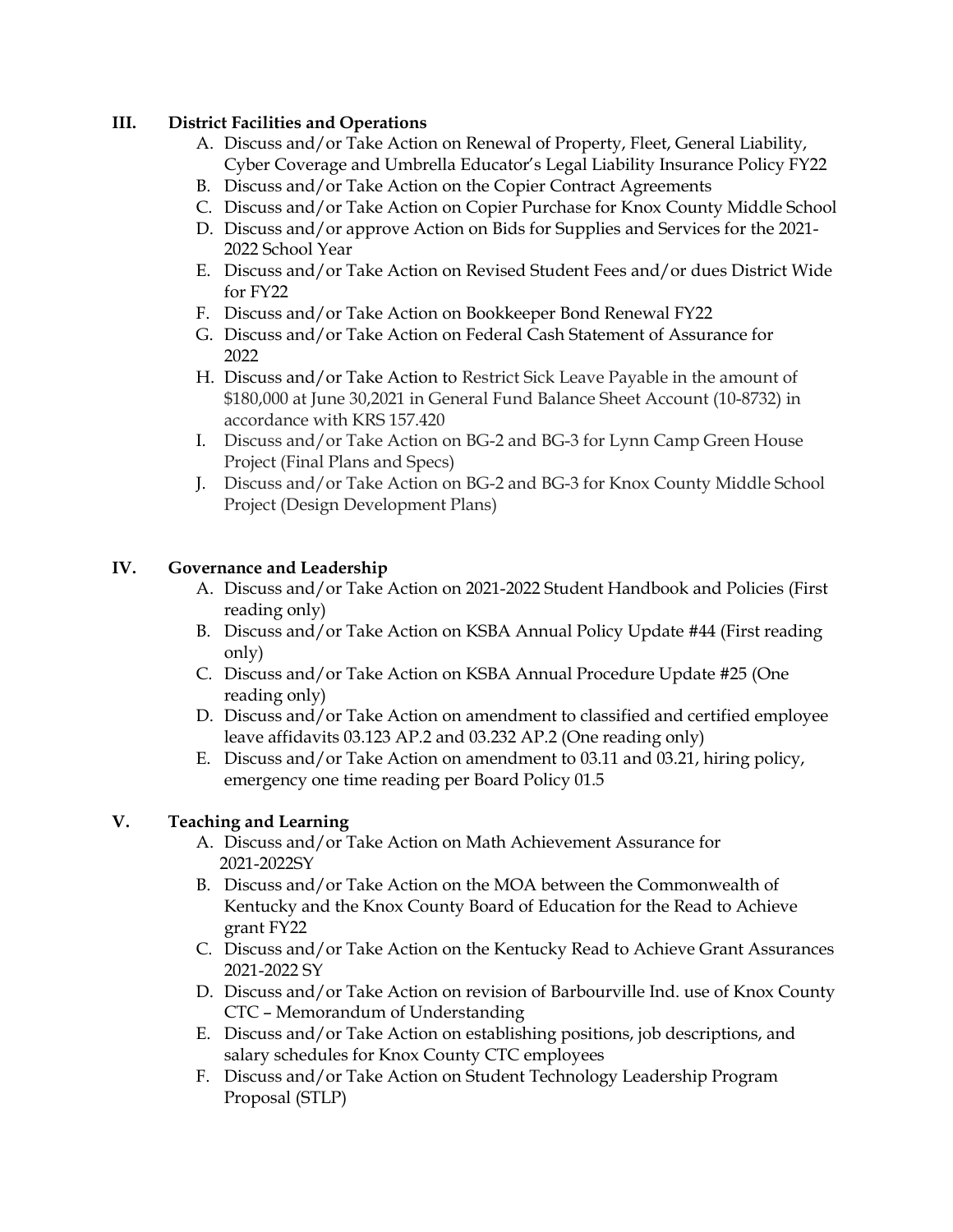# **III. District Facilities and Operations**

- A. Discuss and/or Take Action on Renewal of Property, Fleet, General Liability, Cyber Coverage and Umbrella Educator's Legal Liability Insurance Policy FY22
- B. Discuss and/or Take Action on the Copier Contract Agreements
- C. Discuss and/or Take Action on Copier Purchase for Knox County Middle School
- D. Discuss and/or approve Action on Bids for Supplies and Services for the 2021- 2022 School Year
- E. Discuss and/or Take Action on Revised Student Fees and/or dues District Wide for FY22
- F. Discuss and/or Take Action on Bookkeeper Bond Renewal FY22
- G. Discuss and/or Take Action on Federal Cash Statement of Assurance for 2022
- H. Discuss and/or Take Action to Restrict Sick Leave Payable in the amount of \$180,000 at June 30,2021 in General Fund Balance Sheet Account (10-8732) in accordance with KRS 157.420
- I. Discuss and/or Take Action on BG-2 and BG-3 for Lynn Camp Green House Project (Final Plans and Specs)
- J. Discuss and/or Take Action on BG-2 and BG-3 for Knox County Middle School Project (Design Development Plans)

# **IV. Governance and Leadership**

- A. Discuss and/or Take Action on 2021-2022 Student Handbook and Policies (First reading only)
- B. Discuss and/or Take Action on KSBA Annual Policy Update #44 (First reading only)
- C. Discuss and/or Take Action on KSBA Annual Procedure Update #25 (One reading only)
- D. Discuss and/or Take Action on amendment to classified and certified employee leave affidavits 03.123 AP.2 and 03.232 AP.2 (One reading only)
- E. Discuss and/or Take Action on amendment to 03.11 and 03.21, hiring policy, emergency one time reading per Board Policy 01.5

# **V. Teaching and Learning**

- A. Discuss and/or Take Action on Math Achievement Assurance for 2021-2022SY
- B. Discuss and/or Take Action on the MOA between the Commonwealth of Kentucky and the Knox County Board of Education for the Read to Achieve grant FY22
- C. Discuss and/or Take Action on the Kentucky Read to Achieve Grant Assurances 2021-2022 SY
- D. Discuss and/or Take Action on revision of Barbourville Ind. use of Knox County CTC – Memorandum of Understanding
- E. Discuss and/or Take Action on establishing positions, job descriptions, and salary schedules for Knox County CTC employees
- F. Discuss and/or Take Action on Student Technology Leadership Program Proposal (STLP)